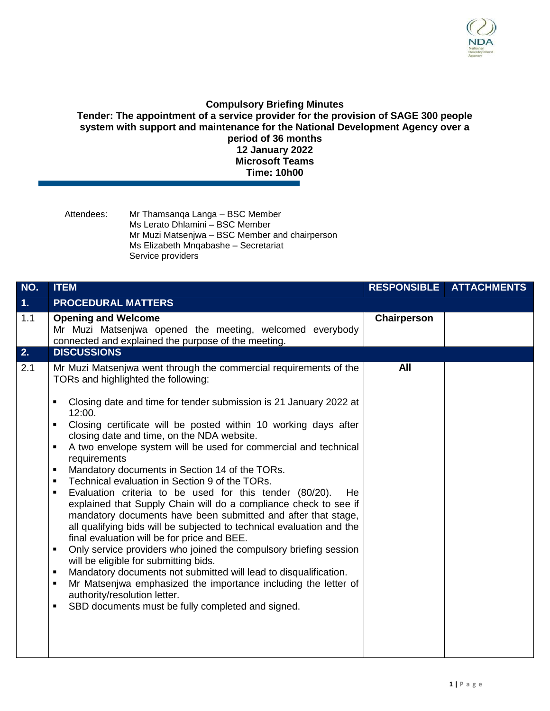

## **Compulsory Briefing Minutes**

**Tender: The appointment of a service provider for the provision of SAGE 300 people system with support and maintenance for the National Development Agency over a period of 36 months 12 January 2022 Microsoft Teams Time: 10h00**

Attendees: Mr Thamsanqa Langa – BSC Member Ms Lerato Dhlamini – BSC Member Mr Muzi Matsenjwa – BSC Member and chairperson Ms Elizabeth Mnqabashe – Secretariat Service providers

| NO.            | <b>ITEM</b>                                                                                                                                                                                                                                                                                                                                                                                                                                                                                                                                                                                                                                                                                                                                                                                                                                                                                                                                                                                                                                                                                                                                                                                                                                                                                | <b>RESPONSIBLE</b> | <b>ATTACHMENTS</b> |
|----------------|--------------------------------------------------------------------------------------------------------------------------------------------------------------------------------------------------------------------------------------------------------------------------------------------------------------------------------------------------------------------------------------------------------------------------------------------------------------------------------------------------------------------------------------------------------------------------------------------------------------------------------------------------------------------------------------------------------------------------------------------------------------------------------------------------------------------------------------------------------------------------------------------------------------------------------------------------------------------------------------------------------------------------------------------------------------------------------------------------------------------------------------------------------------------------------------------------------------------------------------------------------------------------------------------|--------------------|--------------------|
| 1 <sub>1</sub> | <b>PROCEDURAL MATTERS</b>                                                                                                                                                                                                                                                                                                                                                                                                                                                                                                                                                                                                                                                                                                                                                                                                                                                                                                                                                                                                                                                                                                                                                                                                                                                                  |                    |                    |
| 1.1            | <b>Opening and Welcome</b><br>Mr Muzi Matsenjwa opened the meeting, welcomed everybody<br>connected and explained the purpose of the meeting.                                                                                                                                                                                                                                                                                                                                                                                                                                                                                                                                                                                                                                                                                                                                                                                                                                                                                                                                                                                                                                                                                                                                              | Chairperson        |                    |
| 2.             | <b>DISCUSSIONS</b>                                                                                                                                                                                                                                                                                                                                                                                                                                                                                                                                                                                                                                                                                                                                                                                                                                                                                                                                                                                                                                                                                                                                                                                                                                                                         |                    |                    |
| 2.1            | Mr Muzi Matsenjwa went through the commercial requirements of the<br>TORs and highlighted the following:<br>Closing date and time for tender submission is 21 January 2022 at<br>٠<br>12:00.<br>Closing certificate will be posted within 10 working days after<br>$\blacksquare$<br>closing date and time, on the NDA website.<br>A two envelope system will be used for commercial and technical<br>$\blacksquare$<br>requirements<br>Mandatory documents in Section 14 of the TORs.<br>٠<br>Technical evaluation in Section 9 of the TORs.<br>$\blacksquare$<br>Evaluation criteria to be used for this tender (80/20).<br>He.<br>٠<br>explained that Supply Chain will do a compliance check to see if<br>mandatory documents have been submitted and after that stage,<br>all qualifying bids will be subjected to technical evaluation and the<br>final evaluation will be for price and BEE.<br>Only service providers who joined the compulsory briefing session<br>$\blacksquare$<br>will be eligible for submitting bids.<br>Mandatory documents not submitted will lead to disqualification.<br>٠<br>Mr Matsenjwa emphasized the importance including the letter of<br>$\blacksquare$<br>authority/resolution letter.<br>SBD documents must be fully completed and signed.<br>٠ | All                |                    |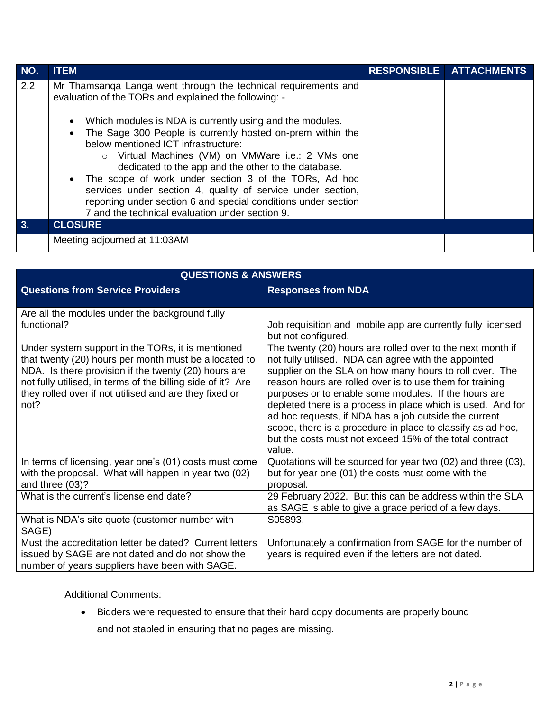| NO. | <b>ITEM</b>                                                                                                                                                                                                                                                                                                                                                                                                                                                                                                                                                                                                                                         | RESPONSIBLE ATTACHMENTS |
|-----|-----------------------------------------------------------------------------------------------------------------------------------------------------------------------------------------------------------------------------------------------------------------------------------------------------------------------------------------------------------------------------------------------------------------------------------------------------------------------------------------------------------------------------------------------------------------------------------------------------------------------------------------------------|-------------------------|
| 2.2 | Mr Thamsanga Langa went through the technical requirements and<br>evaluation of the TORs and explained the following: -<br>Which modules is NDA is currently using and the modules.<br>The Sage 300 People is currently hosted on-prem within the<br>below mentioned ICT infrastructure:<br>o Virtual Machines (VM) on VMWare i.e.: 2 VMs one<br>dedicated to the app and the other to the database.<br>• The scope of work under section 3 of the TORs, Ad hoc<br>services under section 4, quality of service under section,<br>reporting under section 6 and special conditions under section<br>7 and the technical evaluation under section 9. |                         |
| 3.  | <b>CLOSURE</b>                                                                                                                                                                                                                                                                                                                                                                                                                                                                                                                                                                                                                                      |                         |
|     | Meeting adjourned at 11:03AM                                                                                                                                                                                                                                                                                                                                                                                                                                                                                                                                                                                                                        |                         |

| <b>QUESTIONS &amp; ANSWERS</b>                                                                                                                                                                                                                                                                      |                                                                                                                                                                                                                                                                                                                                                                                                                                                                                                                                                               |  |  |  |
|-----------------------------------------------------------------------------------------------------------------------------------------------------------------------------------------------------------------------------------------------------------------------------------------------------|---------------------------------------------------------------------------------------------------------------------------------------------------------------------------------------------------------------------------------------------------------------------------------------------------------------------------------------------------------------------------------------------------------------------------------------------------------------------------------------------------------------------------------------------------------------|--|--|--|
| <b>Questions from Service Providers</b>                                                                                                                                                                                                                                                             | <b>Responses from NDA</b>                                                                                                                                                                                                                                                                                                                                                                                                                                                                                                                                     |  |  |  |
| Are all the modules under the background fully<br>functional?                                                                                                                                                                                                                                       | Job requisition and mobile app are currently fully licensed<br>but not configured.                                                                                                                                                                                                                                                                                                                                                                                                                                                                            |  |  |  |
| Under system support in the TORs, it is mentioned<br>that twenty (20) hours per month must be allocated to<br>NDA. Is there provision if the twenty (20) hours are<br>not fully utilised, in terms of the billing side of it? Are<br>they rolled over if not utilised and are they fixed or<br>not? | The twenty (20) hours are rolled over to the next month if<br>not fully utilised. NDA can agree with the appointed<br>supplier on the SLA on how many hours to roll over. The<br>reason hours are rolled over is to use them for training<br>purposes or to enable some modules. If the hours are<br>depleted there is a process in place which is used. And for<br>ad hoc requests, if NDA has a job outside the current<br>scope, there is a procedure in place to classify as ad hoc,<br>but the costs must not exceed 15% of the total contract<br>value. |  |  |  |
| In terms of licensing, year one's (01) costs must come<br>with the proposal. What will happen in year two (02)<br>and three (03)?                                                                                                                                                                   | Quotations will be sourced for year two (02) and three (03),<br>but for year one (01) the costs must come with the<br>proposal.                                                                                                                                                                                                                                                                                                                                                                                                                               |  |  |  |
| What is the current's license end date?                                                                                                                                                                                                                                                             | 29 February 2022. But this can be address within the SLA<br>as SAGE is able to give a grace period of a few days.                                                                                                                                                                                                                                                                                                                                                                                                                                             |  |  |  |
| What is NDA's site quote (customer number with<br>SAGE)                                                                                                                                                                                                                                             | S05893.                                                                                                                                                                                                                                                                                                                                                                                                                                                                                                                                                       |  |  |  |
| Must the accreditation letter be dated? Current letters<br>issued by SAGE are not dated and do not show the<br>number of years suppliers have been with SAGE.                                                                                                                                       | Unfortunately a confirmation from SAGE for the number of<br>years is required even if the letters are not dated.                                                                                                                                                                                                                                                                                                                                                                                                                                              |  |  |  |

Additional Comments:

 Bidders were requested to ensure that their hard copy documents are properly bound and not stapled in ensuring that no pages are missing.